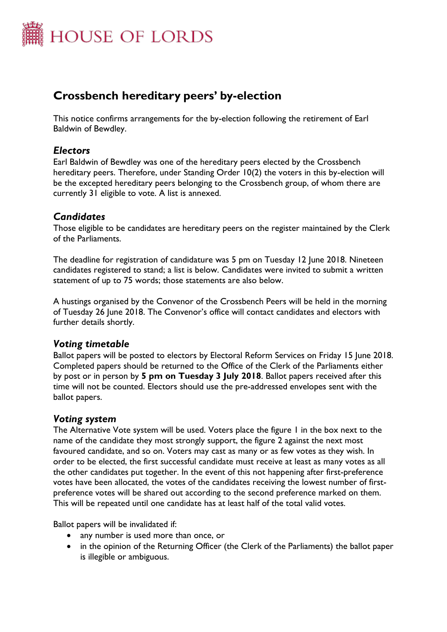

# **Crossbench hereditary peers' by-election**

This notice confirms arrangements for the by-election following the retirement of Earl Baldwin of Bewdley.

## *Electors*

Earl Baldwin of Bewdley was one of the hereditary peers elected by the Crossbench hereditary peers. Therefore, under Standing Order 10(2) the voters in this by-election will be the excepted hereditary peers belonging to the Crossbench group, of whom there are currently 31 eligible to vote. A list is annexed.

## *Candidates*

Those eligible to be candidates are hereditary peers on the register maintained by the Clerk of the Parliaments.

The deadline for registration of candidature was 5 pm on Tuesday 12 June 2018. Nineteen candidates registered to stand; a list is below. Candidates were invited to submit a written statement of up to 75 words; those statements are also below.

A hustings organised by the Convenor of the Crossbench Peers will be held in the morning of Tuesday 26 June 2018. The Convenor's office will contact candidates and electors with further details shortly.

## *Voting timetable*

Ballot papers will be posted to electors by Electoral Reform Services on Friday 15 June 2018. Completed papers should be returned to the Office of the Clerk of the Parliaments either by post or in person by **5 pm on Tuesday 3 July 2018**. Ballot papers received after this time will not be counted. Electors should use the pre-addressed envelopes sent with the ballot papers.

#### *Voting system*

The Alternative Vote system will be used. Voters place the figure 1 in the box next to the name of the candidate they most strongly support, the figure 2 against the next most favoured candidate, and so on. Voters may cast as many or as few votes as they wish. In order to be elected, the first successful candidate must receive at least as many votes as all the other candidates put together. In the event of this not happening after first-preference votes have been allocated, the votes of the candidates receiving the lowest number of firstpreference votes will be shared out according to the second preference marked on them. This will be repeated until one candidate has at least half of the total valid votes.

Ballot papers will be invalidated if:

- any number is used more than once, or
- in the opinion of the Returning Officer (the Clerk of the Parliaments) the ballot paper is illegible or ambiguous.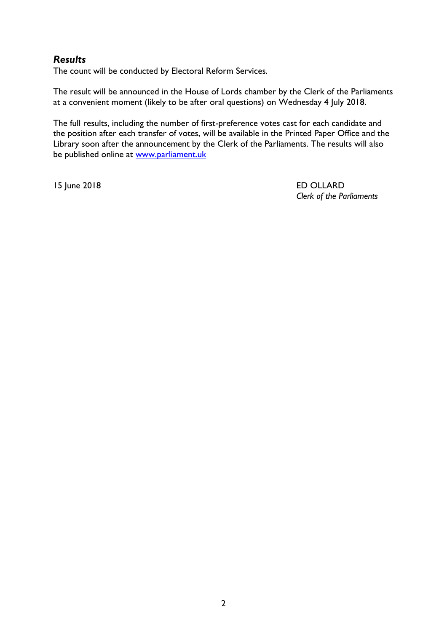## *Results*

The count will be conducted by Electoral Reform Services.

The result will be announced in the House of Lords chamber by the Clerk of the Parliaments at a convenient moment (likely to be after oral questions) on Wednesday 4 July 2018.

The full results, including the number of first-preference votes cast for each candidate and the position after each transfer of votes, will be available in the Printed Paper Office and the Library soon after the announcement by the Clerk of the Parliaments. The results will also be published online at [www.parliament.uk](http://www.parliament.uk/)

15 June 2018 ED OLLARD *Clerk of the Parliaments*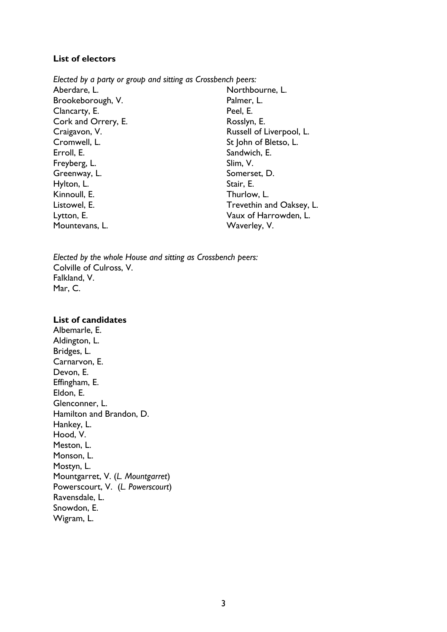#### **List of electors**

*Elected by a party or group and sitting as Crossbench peers:* Aberdare, L. Brookeborough, V. Clancarty, E. Cork and Orrery, E. Craigavon, V. Cromwell, L. Erroll, E. Freyberg, L. Greenway, L. Hylton, L. Kinnoull, E. Listowel, E. Lytton, E. Mountevans, L. Northbourne, L. Palmer, L. Peel, E. Rosslyn, E. Russell of Liverpool, L. St John of Bletso, L. Sandwich, E. Slim, V. Somerset, D. Stair, E. Thurlow, L. Trevethin and Oaksey, L. Vaux of Harrowden, L. Waverley, V.

*Elected by the whole House and sitting as Crossbench peers:* Colville of Culross, V. Falkland, V. Mar, C.

#### **List of candidates**

Albemarle, E. Aldington, L. Bridges, L. Carnarvon, E. Devon, E. Effingham, E. Eldon, E. Glenconner, L. Hamilton and Brandon, D. Hankey, L. Hood, V. Meston, L. Monson, L. Mostyn, L. Mountgarret, V. (*L. Mountgarret*) Powerscourt, V. (*L. Powerscourt*) Ravensdale, L. Snowdon, E. Wigram, L.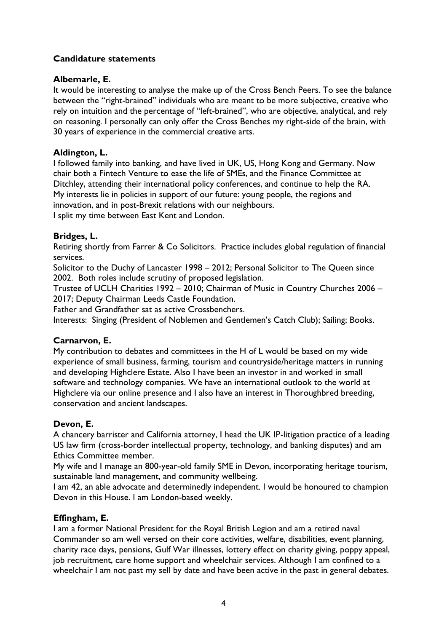#### **Candidature statements**

#### **Albemarle, E.**

It would be interesting to analyse the make up of the Cross Bench Peers. To see the balance between the "right-brained" individuals who are meant to be more subjective, creative who rely on intuition and the percentage of "left-brained", who are objective, analytical, and rely on reasoning. I personally can only offer the Cross Benches my right-side of the brain, with 30 years of experience in the commercial creative arts.

#### **Aldington, L.**

I followed family into banking, and have lived in UK, US, Hong Kong and Germany. Now chair both a Fintech Venture to ease the life of SMEs, and the Finance Committee at Ditchley, attending their international policy conferences, and continue to help the RA. My interests lie in policies in support of our future: young people, the regions and innovation, and in post-Brexit relations with our neighbours.

I split my time between East Kent and London.

#### **Bridges, L.**

Retiring shortly from Farrer & Co Solicitors. Practice includes global regulation of financial services.

Solicitor to the Duchy of Lancaster 1998 – 2012; Personal Solicitor to The Queen since 2002. Both roles include scrutiny of proposed legislation.

Trustee of UCLH Charities 1992 – 2010; Chairman of Music in Country Churches 2006 – 2017; Deputy Chairman Leeds Castle Foundation.

Father and Grandfather sat as active Crossbenchers.

Interests: Singing (President of Noblemen and Gentlemen's Catch Club); Sailing; Books.

#### **Carnarvon, E.**

My contribution to debates and committees in the H of L would be based on my wide experience of small business, farming, tourism and countryside/heritage matters in running and developing Highclere Estate. Also I have been an investor in and worked in small software and technology companies. We have an international outlook to the world at Highclere via our online presence and I also have an interest in Thoroughbred breeding, conservation and ancient landscapes.

#### **Devon, E.**

A chancery barrister and California attorney, I head the UK IP-litigation practice of a leading US law firm (cross-border intellectual property, technology, and banking disputes) and am Ethics Committee member.

My wife and I manage an 800-year-old family SME in Devon, incorporating heritage tourism, sustainable land management, and community wellbeing.

I am 42, an able advocate and determinedly independent. I would be honoured to champion Devon in this House. I am London-based weekly.

#### **Effingham, E.**

I am a former National President for the Royal British Legion and am a retired naval Commander so am well versed on their core activities, welfare, disabilities, event planning, charity race days, pensions, Gulf War illnesses, lottery effect on charity giving, poppy appeal, job recruitment, care home support and wheelchair services. Although I am confined to a wheelchair I am not past my sell by date and have been active in the past in general debates.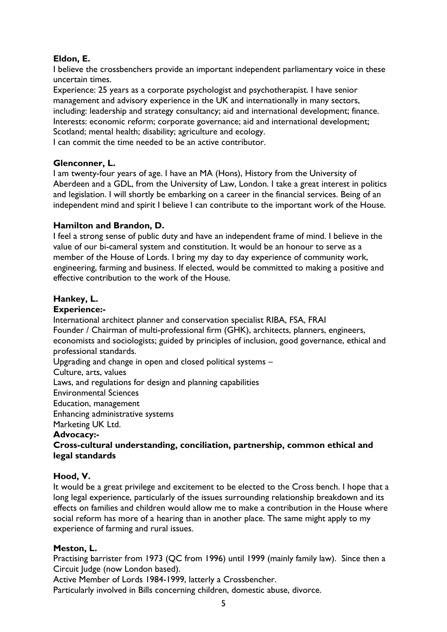## **Eldon, E.**

I believe the crossbenchers provide an important independent parliamentary voice in these uncertain times.

Experience: 25 years as a corporate psychologist and psychotherapist. I have senior management and advisory experience in the UK and internationally in many sectors, including: leadership and strategy consultancy; aid and international development; finance. Interests: economic reform; corporate governance; aid and international development; Scotland; mental health; disability; agriculture and ecology.

I can commit the time needed to be an active contributor.

#### **Glenconner, L.**

I am twenty-four years of age. I have an MA (Hons), History from the University of Aberdeen and a GDL, from the University of Law, London. I take a great interest in politics and legislation. I will shortly be embarking on a career in the financial services. Being of an independent mind and spirit I believe I can contribute to the important work of the House.

#### **Hamilton and Brandon, D.**

I feel a strong sense of public duty and have an independent frame of mind. I believe in the value of our bi-cameral system and constitution. It would be an honour to serve as a member of the House of Lords. I bring my day to day experience of community work, engineering, farming and business. If elected, would be committed to making a positive and effective contribution to the work of the House.

#### **Hankey, L.**

#### **Experience:-**

International architect planner and conservation specialist RIBA, FSA, FRAI Founder / Chairman of multi-professional firm (GHK), architects, planners, engineers, economists and sociologists; guided by principles of inclusion, good governance, ethical and professional standards.

Upgrading and change in open and closed political systems –

Culture, arts, values

Laws, and regulations for design and planning capabilities

Environmental Sciences

Education, management

Enhancing administrative systems

Marketing UK Ltd.

#### **Advocacy:-**

#### **Cross-cultural understanding, conciliation, partnership, common ethical and legal standards**

#### **Hood, V.**

It would be a great privilege and excitement to be elected to the Cross bench. I hope that a long legal experience, particularly of the issues surrounding relationship breakdown and its effects on families and children would allow me to make a contribution in the House where social reform has more of a hearing than in another place. The same might apply to my experience of farming and rural issues.

#### **Meston, L.**

Practising barrister from 1973 (QC from 1996) until 1999 (mainly family law). Since then a Circuit Judge (now London based).

Active Member of Lords 1984-1999, latterly a Crossbencher.

Particularly involved in Bills concerning children, domestic abuse, divorce.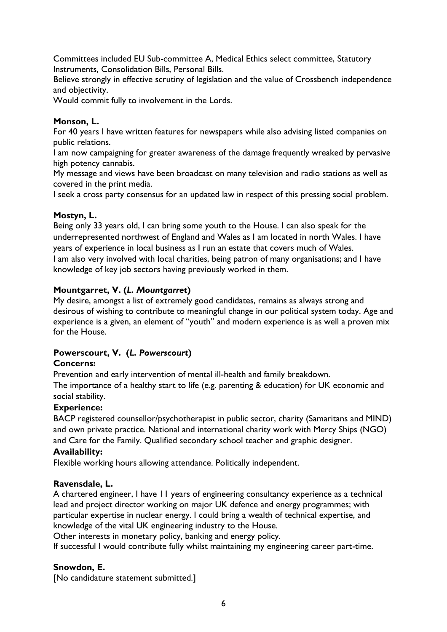Committees included EU Sub-committee A, Medical Ethics select committee, Statutory Instruments, Consolidation Bills, Personal Bills.

Believe strongly in effective scrutiny of legislation and the value of Crossbench independence and objectivity.

Would commit fully to involvement in the Lords.

#### **Monson, L.**

For 40 years I have written features for newspapers while also advising listed companies on public relations.

I am now campaigning for greater awareness of the damage frequently wreaked by pervasive high potency cannabis.

My message and views have been broadcast on many television and radio stations as well as covered in the print media.

I seek a cross party consensus for an updated law in respect of this pressing social problem.

#### **Mostyn, L.**

Being only 33 years old, I can bring some youth to the House. I can also speak for the underrepresented northwest of England and Wales as I am located in north Wales. I have years of experience in local business as I run an estate that covers much of Wales. I am also very involved with local charities, being patron of many organisations; and I have knowledge of key job sectors having previously worked in them.

#### **Mountgarret, V. (***L. Mountgarret***)**

My desire, amongst a list of extremely good candidates, remains as always strong and desirous of wishing to contribute to meaningful change in our political system today. Age and experience is a given, an element of "youth" and modern experience is as well a proven mix for the House.

## **Powerscourt, V. (***L. Powerscourt***)**

#### **Concerns:**

Prevention and early intervention of mental ill-health and family breakdown.

The importance of a healthy start to life (e.g. parenting & education) for UK economic and social stability.

#### **Experience:**

BACP registered counsellor/psychotherapist in public sector, charity (Samaritans and MIND) and own private practice. National and international charity work with Mercy Ships (NGO) and Care for the Family. Qualified secondary school teacher and graphic designer.

#### **Availability:**

Flexible working hours allowing attendance. Politically independent.

#### **Ravensdale, L.**

A chartered engineer, I have 11 years of engineering consultancy experience as a technical lead and project director working on major UK defence and energy programmes; with particular expertise in nuclear energy. I could bring a wealth of technical expertise, and knowledge of the vital UK engineering industry to the House.

Other interests in monetary policy, banking and energy policy.

If successful I would contribute fully whilst maintaining my engineering career part-time.

## **Snowdon, E.**

[No candidature statement submitted.]